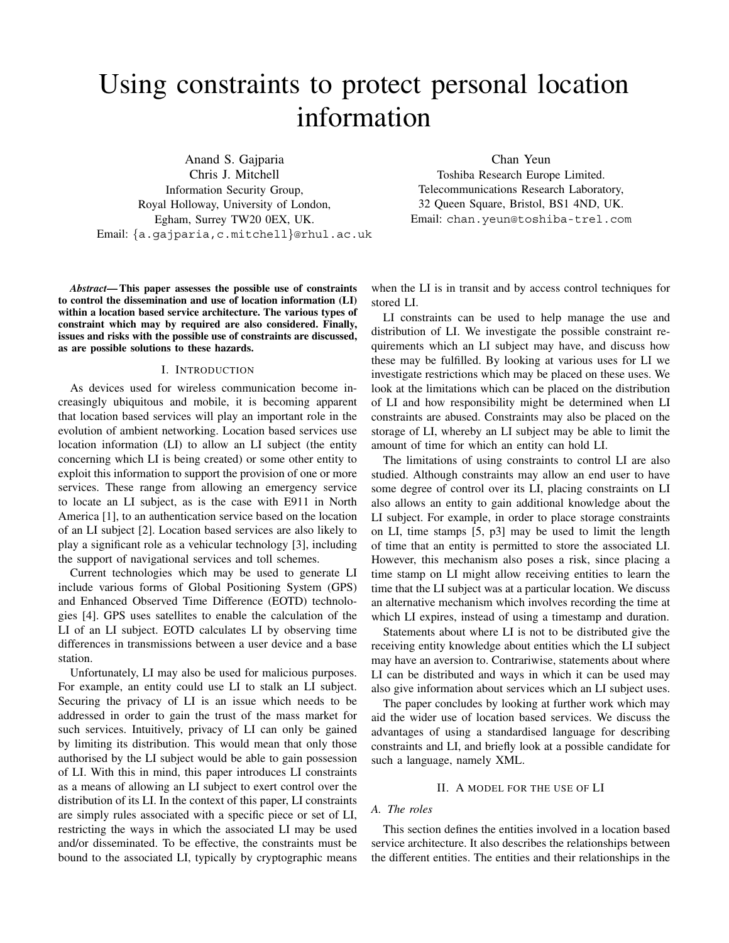# Using constraints to protect personal location information

Anand S. Gajparia

Chris J. Mitchell Information Security Group, Royal Holloway, University of London, Egham, Surrey TW20 0EX, UK. Email: *{*a.gajparia,c.mitchell*}*@rhul.ac.uk Chan Yeun

Toshiba Research Europe Limited. Telecommunications Research Laboratory, 32 Queen Square, Bristol, BS1 4ND, UK. Email: chan.yeun@toshiba-trel.com

*Abstract***— This paper assesses the possible use of constraints to control the dissemination and use of location information (LI) within a location based service architecture. The various types of constraint which may by required are also considered. Finally, issues and risks with the possible use of constraints are discussed, as are possible solutions to these hazards.**

#### I. INTRODUCTION

As devices used for wireless communication become increasingly ubiquitous and mobile, it is becoming apparent that location based services will play an important role in the evolution of ambient networking. Location based services use location information (LI) to allow an LI subject (the entity concerning which LI is being created) or some other entity to exploit this information to support the provision of one or more services. These range from allowing an emergency service to locate an LI subject, as is the case with E911 in North America [1], to an authentication service based on the location of an LI subject [2]. Location based services are also likely to play a significant role as a vehicular technology [3], including the support of navigational services and toll schemes.

Current technologies which may be used to generate LI include various forms of Global Positioning System (GPS) and Enhanced Observed Time Difference (EOTD) technologies [4]. GPS uses satellites to enable the calculation of the LI of an LI subject. EOTD calculates LI by observing time differences in transmissions between a user device and a base station.

Unfortunately, LI may also be used for malicious purposes. For example, an entity could use LI to stalk an LI subject. Securing the privacy of LI is an issue which needs to be addressed in order to gain the trust of the mass market for such services. Intuitively, privacy of LI can only be gained by limiting its distribution. This would mean that only those authorised by the LI subject would be able to gain possession of LI. With this in mind, this paper introduces LI constraints as a means of allowing an LI subject to exert control over the distribution of its LI. In the context of this paper, LI constraints are simply rules associated with a specific piece or set of LI, restricting the ways in which the associated LI may be used and/or disseminated. To be effective, the constraints must be bound to the associated LI, typically by cryptographic means

when the LI is in transit and by access control techniques for stored LI.

LI constraints can be used to help manage the use and distribution of LI. We investigate the possible constraint requirements which an LI subject may have, and discuss how these may be fulfilled. By looking at various uses for LI we investigate restrictions which may be placed on these uses. We look at the limitations which can be placed on the distribution of LI and how responsibility might be determined when LI constraints are abused. Constraints may also be placed on the storage of LI, whereby an LI subject may be able to limit the amount of time for which an entity can hold LI.

The limitations of using constraints to control LI are also studied. Although constraints may allow an end user to have some degree of control over its LI, placing constraints on LI also allows an entity to gain additional knowledge about the LI subject. For example, in order to place storage constraints on LI, time stamps [5, p3] may be used to limit the length of time that an entity is permitted to store the associated LI. However, this mechanism also poses a risk, since placing a time stamp on LI might allow receiving entities to learn the time that the LI subject was at a particular location. We discuss an alternative mechanism which involves recording the time at which LI expires, instead of using a timestamp and duration.

Statements about where LI is not to be distributed give the receiving entity knowledge about entities which the LI subject may have an aversion to. Contrariwise, statements about where LI can be distributed and ways in which it can be used may also give information about services which an LI subject uses.

The paper concludes by looking at further work which may aid the wider use of location based services. We discuss the advantages of using a standardised language for describing constraints and LI, and briefly look at a possible candidate for such a language, namely XML.

#### II. A MODEL FOR THE USE OF LI

# *A. The roles*

This section defines the entities involved in a location based service architecture. It also describes the relationships between the different entities. The entities and their relationships in the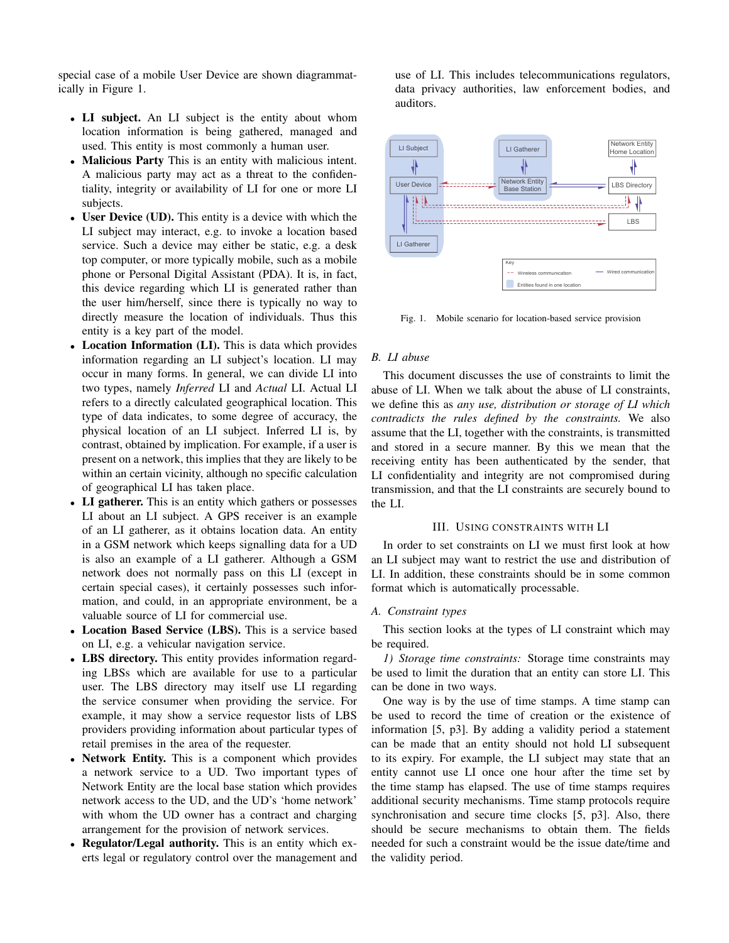special case of a mobile User Device are shown diagrammatically in Figure 1.

- *•* **LI subject.** An LI subject is the entity about whom location information is being gathered, managed and used. This entity is most commonly a human user.
- *•* **Malicious Party** This is an entity with malicious intent. A malicious party may act as a threat to the confidentiality, integrity or availability of LI for one or more LI subjects.
- *•* **User Device (UD).** This entity is a device with which the LI subject may interact, e.g. to invoke a location based service. Such a device may either be static, e.g. a desk top computer, or more typically mobile, such as a mobile phone or Personal Digital Assistant (PDA). It is, in fact, this device regarding which LI is generated rather than the user him/herself, since there is typically no way to directly measure the location of individuals. Thus this entity is a key part of the model.
- *•* **Location Information (LI).** This is data which provides information regarding an LI subject's location. LI may occur in many forms. In general, we can divide LI into two types, namely *Inferred* LI and *Actual* LI. Actual LI refers to a directly calculated geographical location. This type of data indicates, to some degree of accuracy, the physical location of an LI subject. Inferred LI is, by contrast, obtained by implication. For example, if a user is present on a network, this implies that they are likely to be within an certain vicinity, although no specific calculation of geographical LI has taken place.
- **LI gatherer.** This is an entity which gathers or possesses LI about an LI subject. A GPS receiver is an example of an LI gatherer, as it obtains location data. An entity in a GSM network which keeps signalling data for a UD is also an example of a LI gatherer. Although a GSM network does not normally pass on this LI (except in certain special cases), it certainly possesses such information, and could, in an appropriate environment, be a valuable source of LI for commercial use.
- *•* **Location Based Service (LBS).** This is a service based on LI, e.g. a vehicular navigation service.
- *•* **LBS directory.** This entity provides information regarding LBSs which are available for use to a particular user. The LBS directory may itself use LI regarding the service consumer when providing the service. For example, it may show a service requestor lists of LBS providers providing information about particular types of retail premises in the area of the requester.
- *•* **Network Entity.** This is a component which provides a network service to a UD. Two important types of Network Entity are the local base station which provides network access to the UD, and the UD's 'home network' with whom the UD owner has a contract and charging arrangement for the provision of network services.
- *•* **Regulator/Legal authority.** This is an entity which exerts legal or regulatory control over the management and

use of LI. This includes telecommunications regulators, data privacy authorities, law enforcement bodies, and auditors.



Fig. 1. Mobile scenario for location-based service provision

# *B. LI abuse*

This document discusses the use of constraints to limit the abuse of LI. When we talk about the abuse of LI constraints, we define this as *any use, distribution or storage of LI which contradicts the rules defined by the constraints.* We also assume that the LI, together with the constraints, is transmitted and stored in a secure manner. By this we mean that the receiving entity has been authenticated by the sender, that LI confidentiality and integrity are not compromised during transmission, and that the LI constraints are securely bound to the LI.

## III. USING CONSTRAINTS WITH LI

In order to set constraints on LI we must first look at how an LI subject may want to restrict the use and distribution of LI. In addition, these constraints should be in some common format which is automatically processable.

# *A. Constraint types*

This section looks at the types of LI constraint which may be required.

*1) Storage time constraints:* Storage time constraints may be used to limit the duration that an entity can store LI. This can be done in two ways.

One way is by the use of time stamps. A time stamp can be used to record the time of creation or the existence of information [5, p3]. By adding a validity period a statement can be made that an entity should not hold LI subsequent to its expiry. For example, the LI subject may state that an entity cannot use LI once one hour after the time set by the time stamp has elapsed. The use of time stamps requires additional security mechanisms. Time stamp protocols require synchronisation and secure time clocks [5, p3]. Also, there should be secure mechanisms to obtain them. The fields needed for such a constraint would be the issue date/time and the validity period.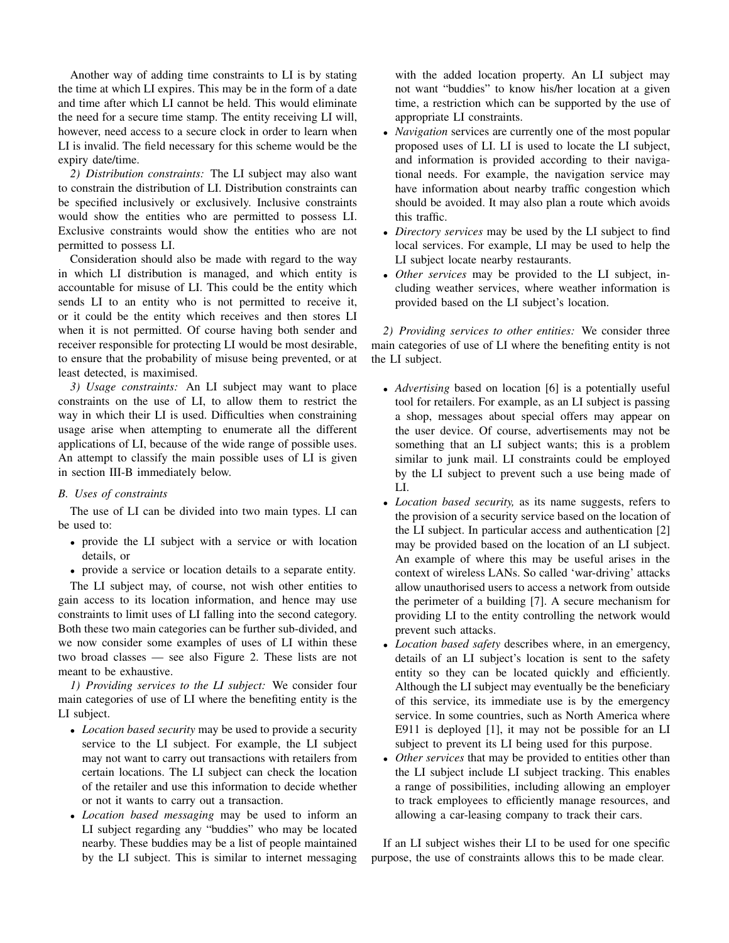Another way of adding time constraints to LI is by stating the time at which LI expires. This may be in the form of a date and time after which LI cannot be held. This would eliminate the need for a secure time stamp. The entity receiving LI will, however, need access to a secure clock in order to learn when LI is invalid. The field necessary for this scheme would be the expiry date/time.

*2) Distribution constraints:* The LI subject may also want to constrain the distribution of LI. Distribution constraints can be specified inclusively or exclusively. Inclusive constraints would show the entities who are permitted to possess LI. Exclusive constraints would show the entities who are not permitted to possess LI.

Consideration should also be made with regard to the way in which LI distribution is managed, and which entity is accountable for misuse of LI. This could be the entity which sends LI to an entity who is not permitted to receive it, or it could be the entity which receives and then stores LI when it is not permitted. Of course having both sender and receiver responsible for protecting LI would be most desirable, to ensure that the probability of misuse being prevented, or at least detected, is maximised.

*3) Usage constraints:* An LI subject may want to place constraints on the use of LI, to allow them to restrict the way in which their LI is used. Difficulties when constraining usage arise when attempting to enumerate all the different applications of LI, because of the wide range of possible uses. An attempt to classify the main possible uses of LI is given in section III-B immediately below.

# *B. Uses of constraints*

The use of LI can be divided into two main types. LI can be used to:

- *•* provide the LI subject with a service or with location details, or
- *•* provide a service or location details to a separate entity.

The LI subject may, of course, not wish other entities to gain access to its location information, and hence may use constraints to limit uses of LI falling into the second category. Both these two main categories can be further sub-divided, and we now consider some examples of uses of LI within these two broad classes — see also Figure 2. These lists are not meant to be exhaustive.

*1) Providing services to the LI subject:* We consider four main categories of use of LI where the benefiting entity is the LI subject.

- *• Location based security* may be used to provide a security service to the LI subject. For example, the LI subject may not want to carry out transactions with retailers from certain locations. The LI subject can check the location of the retailer and use this information to decide whether or not it wants to carry out a transaction.
- *• Location based messaging* may be used to inform an LI subject regarding any "buddies" who may be located nearby. These buddies may be a list of people maintained by the LI subject. This is similar to internet messaging

with the added location property. An LI subject may not want "buddies" to know his/her location at a given time, a restriction which can be supported by the use of appropriate LI constraints.

- *• Navigation* services are currently one of the most popular proposed uses of LI. LI is used to locate the LI subject, and information is provided according to their navigational needs. For example, the navigation service may have information about nearby traffic congestion which should be avoided. It may also plan a route which avoids this traffic.
- *• Directory services* may be used by the LI subject to find local services. For example, LI may be used to help the LI subject locate nearby restaurants.
- *• Other services* may be provided to the LI subject, including weather services, where weather information is provided based on the LI subject's location.

*2) Providing services to other entities:* We consider three main categories of use of LI where the benefiting entity is not the LI subject.

- *• Advertising* based on location [6] is a potentially useful tool for retailers. For example, as an LI subject is passing a shop, messages about special offers may appear on the user device. Of course, advertisements may not be something that an LI subject wants; this is a problem similar to junk mail. LI constraints could be employed by the LI subject to prevent such a use being made of LI.
- *• Location based security,* as its name suggests, refers to the provision of a security service based on the location of the LI subject. In particular access and authentication [2] may be provided based on the location of an LI subject. An example of where this may be useful arises in the context of wireless LANs. So called 'war-driving' attacks allow unauthorised users to access a network from outside the perimeter of a building [7]. A secure mechanism for providing LI to the entity controlling the network would prevent such attacks.
- *• Location based safety* describes where, in an emergency, details of an LI subject's location is sent to the safety entity so they can be located quickly and efficiently. Although the LI subject may eventually be the beneficiary of this service, its immediate use is by the emergency service. In some countries, such as North America where E911 is deployed [1], it may not be possible for an LI subject to prevent its LI being used for this purpose.
- *• Other services* that may be provided to entities other than the LI subject include LI subject tracking. This enables a range of possibilities, including allowing an employer to track employees to efficiently manage resources, and allowing a car-leasing company to track their cars.

If an LI subject wishes their LI to be used for one specific purpose, the use of constraints allows this to be made clear.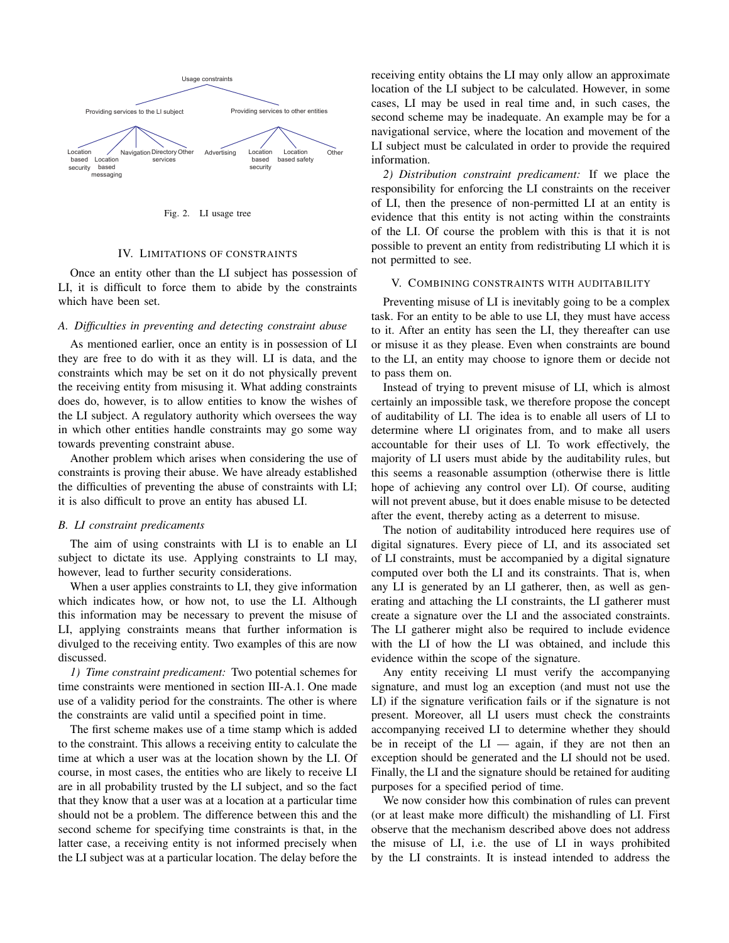

Fig. 2. LI usage tree

#### IV. LIMITATIONS OF CONSTRAINTS

Once an entity other than the LI subject has possession of LI, it is difficult to force them to abide by the constraints which have been set.

# *A. Difficulties in preventing and detecting constraint abuse*

As mentioned earlier, once an entity is in possession of LI they are free to do with it as they will. LI is data, and the constraints which may be set on it do not physically prevent the receiving entity from misusing it. What adding constraints does do, however, is to allow entities to know the wishes of the LI subject. A regulatory authority which oversees the way in which other entities handle constraints may go some way towards preventing constraint abuse.

Another problem which arises when considering the use of constraints is proving their abuse. We have already established the difficulties of preventing the abuse of constraints with LI; it is also difficult to prove an entity has abused LI.

# *B. LI constraint predicaments*

The aim of using constraints with LI is to enable an LI subject to dictate its use. Applying constraints to LI may, however, lead to further security considerations.

When a user applies constraints to LI, they give information which indicates how, or how not, to use the LI. Although this information may be necessary to prevent the misuse of LI, applying constraints means that further information is divulged to the receiving entity. Two examples of this are now discussed.

*1) Time constraint predicament:* Two potential schemes for time constraints were mentioned in section III-A.1. One made use of a validity period for the constraints. The other is where the constraints are valid until a specified point in time.

The first scheme makes use of a time stamp which is added to the constraint. This allows a receiving entity to calculate the time at which a user was at the location shown by the LI. Of course, in most cases, the entities who are likely to receive LI are in all probability trusted by the LI subject, and so the fact that they know that a user was at a location at a particular time should not be a problem. The difference between this and the second scheme for specifying time constraints is that, in the latter case, a receiving entity is not informed precisely when the LI subject was at a particular location. The delay before the

receiving entity obtains the LI may only allow an approximate location of the LI subject to be calculated. However, in some cases, LI may be used in real time and, in such cases, the second scheme may be inadequate. An example may be for a navigational service, where the location and movement of the LI subject must be calculated in order to provide the required information.

*2) Distribution constraint predicament:* If we place the responsibility for enforcing the LI constraints on the receiver of LI, then the presence of non-permitted LI at an entity is evidence that this entity is not acting within the constraints of the LI. Of course the problem with this is that it is not possible to prevent an entity from redistributing LI which it is not permitted to see.

## V. COMBINING CONSTRAINTS WITH AUDITABILITY

Preventing misuse of LI is inevitably going to be a complex task. For an entity to be able to use LI, they must have access to it. After an entity has seen the LI, they thereafter can use or misuse it as they please. Even when constraints are bound to the LI, an entity may choose to ignore them or decide not to pass them on.

Instead of trying to prevent misuse of LI, which is almost certainly an impossible task, we therefore propose the concept of auditability of LI. The idea is to enable all users of LI to determine where LI originates from, and to make all users accountable for their uses of LI. To work effectively, the majority of LI users must abide by the auditability rules, but this seems a reasonable assumption (otherwise there is little hope of achieving any control over LI). Of course, auditing will not prevent abuse, but it does enable misuse to be detected after the event, thereby acting as a deterrent to misuse.

The notion of auditability introduced here requires use of digital signatures. Every piece of LI, and its associated set of LI constraints, must be accompanied by a digital signature computed over both the LI and its constraints. That is, when any LI is generated by an LI gatherer, then, as well as generating and attaching the LI constraints, the LI gatherer must create a signature over the LI and the associated constraints. The LI gatherer might also be required to include evidence with the LI of how the LI was obtained, and include this evidence within the scope of the signature.

Any entity receiving LI must verify the accompanying signature, and must log an exception (and must not use the LI) if the signature verification fails or if the signature is not present. Moreover, all LI users must check the constraints accompanying received LI to determine whether they should be in receipt of the  $LI$  — again, if they are not then an exception should be generated and the LI should not be used. Finally, the LI and the signature should be retained for auditing purposes for a specified period of time.

We now consider how this combination of rules can prevent (or at least make more difficult) the mishandling of LI. First observe that the mechanism described above does not address the misuse of LI, i.e. the use of LI in ways prohibited by the LI constraints. It is instead intended to address the